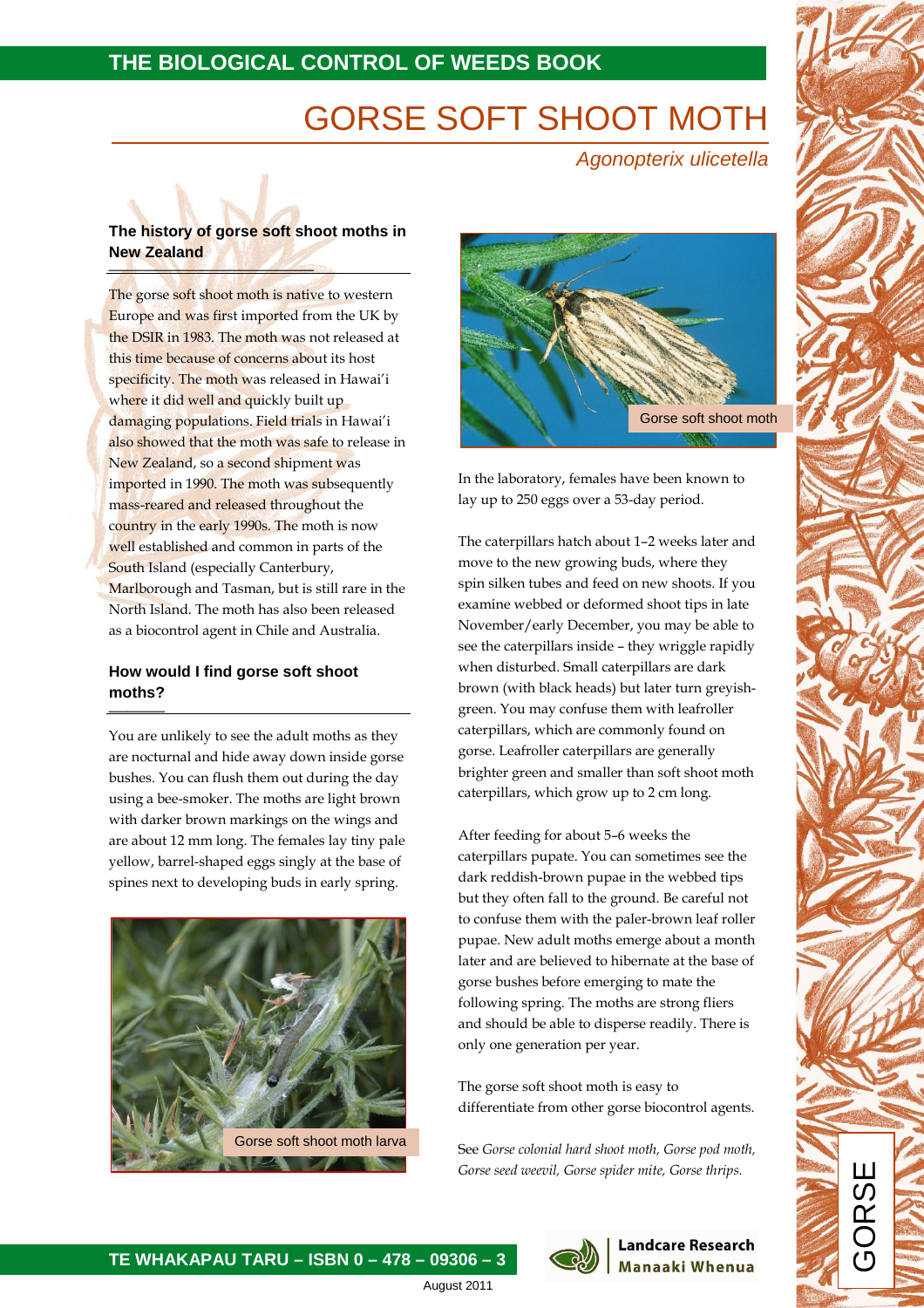# **THE BIOLOGICAL CONTROL OF WEEDS BOOK**

# GORSE SOFT SHOOT MOTH

Agonopterix ulicetella

#### **The history of gorse soft shoot moths in New Zealand**  \_\_\_\_\_\_\_\_\_\_\_\_\_\_\_\_\_\_\_\_\_\_

The gorse soft shoot moth is native to western Europe and was first imported from the UK by the DSIR in 1983. The moth was not released at this time because of concerns about its host specificity. The moth was released in Hawai'i where it did well and quickly built up damaging populations. Field trials in Hawai'i also showed that the moth was safe to release in New Zealand, so a second shipment was imported in 1990. The moth was subsequently mass-reared and released throughout the country in the early 1990s. The moth is now well established and common in parts of the South Island (especially Canterbury, Marlborough and Tasman, but is still rare in the North Island. The moth has also been released as a biocontrol agent in Chile and Australia.

# **How would I find gorse soft shoot moths?**  \_\_\_\_\_\_

You are unlikely to see the adult moths as they are nocturnal and hide away down inside gorse bushes. You can flush them out during the day using a bee-smoker. The moths are light brown with darker brown markings on the wings and are about 12 mm long. The females lay tiny pale yellow, barrel-shaped eggs singly at the base of spines next to developing buds in early spring.





In the laboratory, females have been known to lay up to 250 eggs over a 53-day period.

The caterpillars hatch about 1–2 weeks later and move to the new growing buds, where they spin silken tubes and feed on new shoots. If you examine webbed or deformed shoot tips in late November/early December, you may be able to see the caterpillars inside – they wriggle rapidly when disturbed. Small caterpillars are dark brown (with black heads) but later turn greyishgreen. You may confuse them with leafroller caterpillars, which are commonly found on gorse. Leafroller caterpillars are generally brighter green and smaller than soft shoot moth caterpillars, which grow up to 2 cm long.

After feeding for about 5–6 weeks the caterpillars pupate. You can sometimes see the dark reddish-brown pupae in the webbed tips but they often fall to the ground. Be careful not to confuse them with the paler-brown leaf roller pupae. New adult moths emerge about a month later and are believed to hibernate at the base of gorse bushes before emerging to mate the following spring. The moths are strong fliers and should be able to disperse readily. There is only one generation per year.

The gorse soft shoot moth is easy to differentiate from other gorse biocontrol agents.

See Gorse colonial hard shoot moth, Gorse pod moth, Gorse seed weevil, Gorse spider mite, Gorse thrips.

> **Landcare Research Manaaki Whenua**



 $\overline{a}$ **TE WHAKAPAU TARU – ISBN 0 – 478 – 09306 – 3**

August 2011